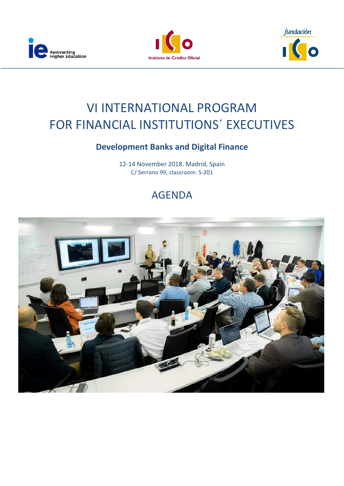





## VI INTERNATIONAL PROGRAM FOR FINANCIAL INSTITUTIONS´ EXECUTIVES

### **Development Banks and Digital Finance**

12-14 November 2018. Madrid, Spain C/ Serrano 99, classroom: S-201

### AGENDA

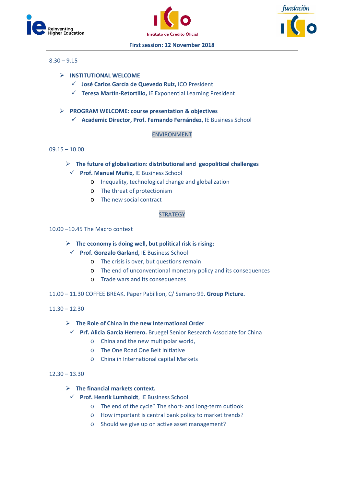





#### **First session: 12 November 2018**

#### $8.30 - 9.15$

- **INSTITUTIONAL WELCOME** 
	- **José Carlos García de Quevedo Ruiz,** ICO President
	- **Teresa Martín-Retortillo,** IE Exponential Learning President
- **PROGRAM WELCOME: course presentation & objectives**
	- **Academic Director, Prof. Fernando Fernández,** IE Business School

#### ENVIRONMENT

#### $09.15 - 10.00$

- **The future of globalization: distributional and geopolitical challenges**
	- **Prof. Manuel Muñiz,** IE Business School
		- o Inequality, technological change and globalization
		- o The threat of protectionism
		- o The new social contract

#### **STRATEGY**

#### 10.00 –10.45 The Macro context

**The economy is doing well, but political risk is rising:** 

#### **Prof. Gonzalo Garland,** IE Business School

- o The crisis is over, but questions remain
- o The end of unconventional monetary policy and its consequences
- o Trade wars and its consequences
- 11.00 11.30 COFFEE BREAK. Paper Pabillion, C/ Serrano 99. **Group Picture.**

 $11.30 - 12.30$ 

#### **The Role of China in the new International Order**

- **Prf. Alicia García Herrero.** Bruegel Senior Research Associate for China
	- o China and the new multipolar world,
		- o The One Road One Belt Initiative
		- o China in International capital Markets

#### $12.30 - 13.30$

#### **The financial markets context.**

- **Prof. Henrik Lumholdt**, IE Business School
	- o The end of the cycle? The short- and long-term outlook
	- o How important is central bank policy to market trends?
	- o Should we give up on active asset management?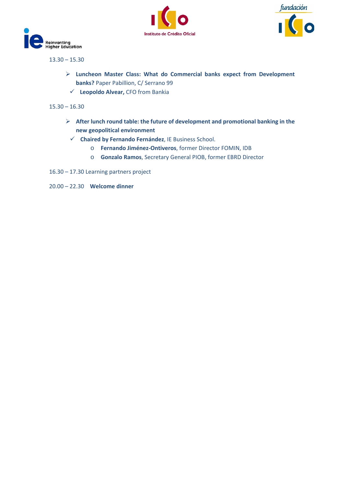





 $13.30 - 15.30$ 

- **Luncheon Master Class: What do Commercial banks expect from Development banks?** Paper Pabillion, C/ Serrano 99
	- **Leopoldo Alvear,** CFO from Bankia

#### $15.30 - 16.30$

- **After lunch round table: the future of development and promotional banking in the new geopolitical environment**
	- **Chaired by Fernando Fernández**, IE Business School.
		- o **Fernando Jiménez-Ontiveros**, former Director FOMIN, IDB
		- o **Gonzalo Ramos**, Secretary General PIOB, former EBRD Director
- 16.30 17.30 Learning partners project
- 20.00 22.30 **Welcome dinner**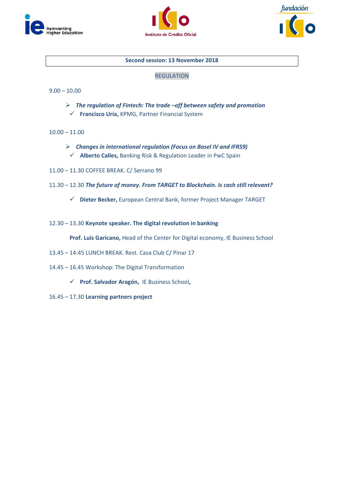





#### **Second session: 13 November 2018**

#### REGULATION

#### $9.00 - 10.00$

- *The regulation of Fintech: The trade –off between safety and promotion*
	- **Francisco Uría,** KPMG, Partner Financial System
- $10.00 11.00$ 
	- *Changes in international regulation (Focus on Basel IV and IFRS9)* **Alberto Calles,** Banking Risk & Regulation Leader in PwC Spain
- 11.00 11.30 COFFEE BREAK. C/ Serrano 99
- 11.30 12.30 *The future of money. From TARGET to Blockchain. Is cash still relevant?*
	- **Dieter Becker,** European Central Bank, former Project Manager TARGET
- 12.30 13.30 **Keynote speaker. The digital revolution in banking**

**Prof. Luis Garicano,** Head of the Center for Digital economy, IE Business School

- 13.45 14:45 LUNCH BREAK. Rest. Casa Club C/ Pinar 17
- 14.45 16.45 Workshop: The Digital Transformation
	- **Prof. Salvador Aragón,** IE Business School**,**
- 16.45 17.30 **Learning partners project**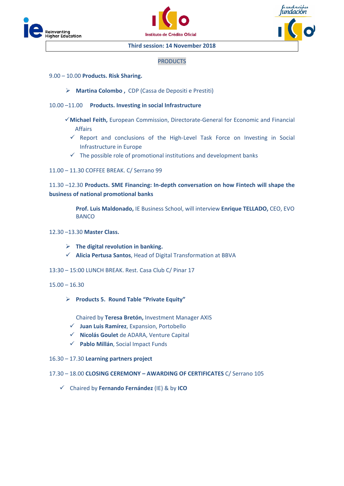





#### **Third session: 14 November 2018**

#### PRODUCTS

- 9.00 10.00 **Products. Risk Sharing.**
	- **Martina Colombo ,** CDP (Cassa de Depositi e Prestiti)
- 10.00 –11.00 **Products. Investing in social Infrastructure**
	- **Michael Feith,** European Commission, Directorate-General for Economic and Financial Affairs
		- $\checkmark$  Report and conclusions of the High-Level Task Force on Investing in Social Infrastructure in Europe
		- $\checkmark$  The possible role of promotional institutions and development banks
- 11.00 11.30 COFFEE BREAK. C/ Serrano 99

#### 11.30 –12.30 **Products. SME Financing: In-depth conversation on how Fintech will shape the business of national promotional banks**

**Prof. Luis Maldonado,** IE Business School, will interview **Enrique TELLADO,** CEO, EVO **BANCO** 

- 12.30 –13.30 **Master Class.** 
	- **The digital revolution in banking.**
	- **Alicia Pertusa Santos**, Head of Digital Transformation at BBVA
- 13:30 15:00 LUNCH BREAK. Rest. Casa Club C/ Pinar 17
- 15.00 16.30
	- **Products 5. Round Table "Private Equity"**

Chaired by **Teresa Bretón,** Investment Manager AXIS

- **Juan Luis Ramírez**, Expansion, Portobello
- **Nicolás Goulet** de ADARA, Venture Capital
- **Pablo Millán**, Social Impact Funds
- 16.30 17.30 **Learning partners project**
- 17.30 18.00 **CLOSING CEREMONY – AWARDING OF CERTIFICATES** C/ Serrano 105
	- Chaired by **Fernando Fernández** (IE) & by **ICO**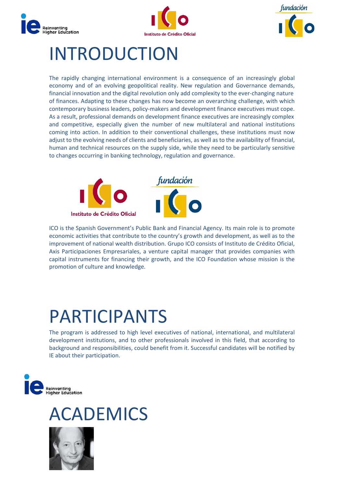





## INTRODUCTION

The rapidly changing international environment is a consequence of an increasingly global economy and of an evolving geopolitical reality. New regulation and Governance demands, financial innovation and the digital revolution only add complexity to the ever-changing nature of finances. Adapting to these changes has now become an overarching challenge, with which contemporary business leaders, policy-makers and development finance executives must cope. As a result, professional demands on development finance executives are increasingly complex and competitive, especially given the number of new multilateral and national institutions coming into action. In addition to their conventional challenges, these institutions must now adjust to the evolving needs of clients and beneficiaries, as well as to the availability of financial, human and technical resources on the supply side, while they need to be particularly sensitive to changes occurring in banking technology, regulation and governance.



ICO is the Spanish Government's Public Bank and Financial Agency. Its main role is to promote economic activities that contribute to the country's growth and development, as well as to the improvement of national wealth distribution. Grupo ICO consists of Instituto de Crédito Oficial, Axis Participaciones Empresariales, a venture capital manager that provides companies with capital instruments for financing their growth, and the ICO Foundation whose mission is the promotion of culture and knowledge.

# PARTICIPANTS

The program is addressed to high level executives of national, international, and multilateral development institutions, and to other professionals involved in this field, that according to background and responsibilities, could benefit from it. Successful candidates will be notified by IE about their participation.



## **CADEMICS**

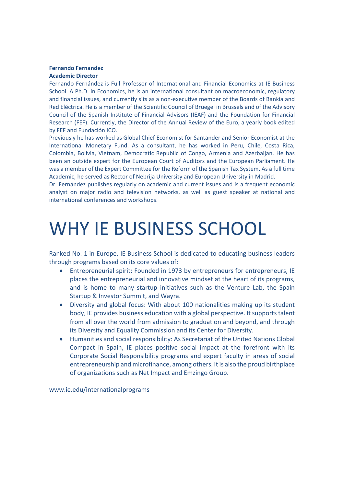#### **Fernando Fernandez Academic Director**

Fernando Fernández is Full Professor of International and Financial Economics at IE Business School. A Ph.D. in Economics, he is an international consultant on macroeconomic, regulatory and financial issues, and currently sits as a non-executive member of the Boards of Bankia and Red Eléctrica. He is a member of the Scientific Council of Bruegel in Brussels and of the Advisory Council of the Spanish Institute of Financial Advisors (IEAF) and the Foundation for Financial Research (FEF). Currently, the Director of the Annual Review of the Euro, a yearly book edited by FEF and Fundación ICO.

Previously he has worked as Global Chief Economist for Santander and Senior Economist at the International Monetary Fund. As a consultant, he has worked in Peru, Chile, Costa Rica, Colombia, Bolivia, Vietnam, Democratic Republic of Congo, Armenia and Azerbaijan. He has been an outside expert for the European Court of Auditors and the European Parliament. He was a member of the Expert Committee for the Reform of the Spanish Tax System. As a full time Academic, he served as Rector of Nebrija University and European University in Madrid.

Dr. Fernández publishes regularly on academic and current issues and is a frequent economic analyst on major radio and television networks, as well as guest speaker at national and international conferences and workshops.

# WHY IE BUSINESS SCHOOL

Ranked No. 1 in Europe, IE Business School is dedicated to educating business leaders through programs based on its core values of:

- Entrepreneurial spirit: Founded in 1973 by entrepreneurs for entrepreneurs, IE places the entrepreneurial and innovative mindset at the heart of its programs, and is home to many startup initiatives such as the Venture Lab, the Spain Startup & Investor Summit, and Wayra.
- Diversity and global focus: With about 100 nationalities making up its student body, IE provides business education with a global perspective. It supports talent from all over the world from admission to graduation and beyond, and through its Diversity and Equality Commission and its Center for Diversity.
- Humanities and social responsibility: As Secretariat of the United Nations Global Compact in Spain, IE places positive social impact at the forefront with its Corporate Social Responsibility programs and expert faculty in areas of social entrepreneurship and microfinance, among others. It is also the proud birthplace of organizations such as Net Impact and Emzingo Group.

[www.ie.edu/internationalprograms](http://www.ie.edu/internationalprograms)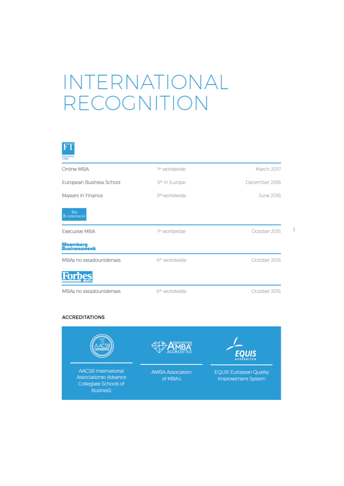# INTERNATIONAL RECOGNITION



| Online MBA                              | 1st worldwide             | March 2017    |
|-----------------------------------------|---------------------------|---------------|
| European Business School                | 5 <sup>th</sup> in Europe | December 2016 |
| Masters in Finance                      | 3rd worldwide             | June 2016     |
| The<br>Economist                        |                           |               |
| Executive MBA                           | <sup>1ª</sup> worldwide   | October 2015  |
| B <mark>loomberg</mark><br>Businessweek |                           |               |
| MBAs no estadounidenses                 | 4 <sup>th</sup> worldwide | October 2015  |
| <b>Forbes</b>                           |                           |               |
| MBAs no estadounidenses                 | 5 <sup>th</sup> worldwide | October 2015  |

#### **ACCREDITATIONS**